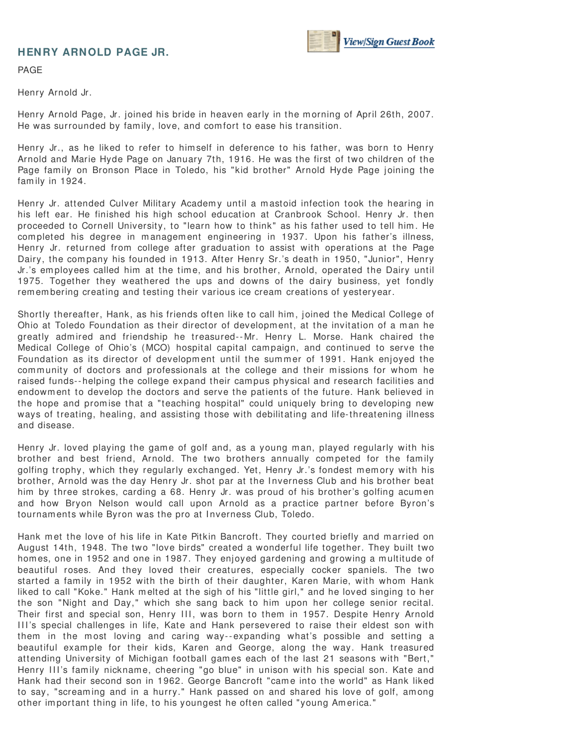## **HENRY ARNOLD PAGE JR.**



PAGE

Henry Arnold Jr.

Henry Arnold Page, Jr. joined his bride in heaven early in the morning of April 26th, 2007. He was surrounded by fam ily, love, and com fort to ease his transition.

Henry Jr., as he liked to refer to himself in deference to his father, was born to Henry Arnold and Marie Hyde Page on January 7th, 1916. He was the first of two children of the Page family on Bronson Place in Toledo, his "kid brother" Arnold Hyde Page joining the family in 1924.

Henry Jr. attended Culver Military Academy until a mastoid infection took the hearing in his left ear. He finished his high school education at Cranbrook School. Henry Jr. then proceeded to Cornell University, to "learn how to think" as his father used to tell him . He completed his degree in management engineering in 1937. Upon his father's illness, Henry Jr. returned from college after graduation to assist with operations at the Page Dairy, the com pany his founded in 1913. After Henry Sr.'s death in 1950, "Junior", Henry Jr.'s employees called him at the time, and his brother, Arnold, operated the Dairy until 1975. Together they weathered the ups and downs of the dairy business, yet fondly rem em bering creating and testing their various ice cream creations of yesteryear.

Shortly thereafter, Hank, as his friends often like to call him , joined the Medical College of Ohio at Toledo Foundation as their director of developm ent, at the invitation of a m an he greatly adm ired and friendship he treasured-- Mr. Henry L. Morse. Hank chaired the Medical College of Ohio's (MCO) hospital capital campaign, and continued to serve the Foundation as its director of development until the summer of 1991. Hank enjoyed the community of doctors and professionals at the college and their missions for whom he raised funds--helping the college expand their cam pus physical and research facilities and endowm ent to develop the doctors and serve the patients of the future. Hank believed in the hope and prom ise that a "teaching hospital" could uniquely bring to developing new ways of treating, healing, and assisting those with debilitating and life-threatening illness and disease.

Henry Jr. loved playing the game of golf and, as a young man, played regularly with his brother and best friend, Arnold. The two brothers annually com peted for the fam ily golfing trophy, which they regularly exchanged. Yet, Henry Jr.'s fondest memory with his brother, Arnold was the day Henry Jr. shot par at the I nverness Club and his brother beat him by three strokes, carding a 68. Henry Jr. was proud of his brother's golfing acumen and how Bryon Nelson would call upon Arnold as a practice partner before Byron's tournaments while Byron was the pro at Inverness Club, Toledo.

Hank met the love of his life in Kate Pitkin Bancroft. They courted briefly and married on August 14th, 1948. The two "love birds" created a wonderful life together. They built two homes, one in 1952 and one in 1987. They enjoyed gardening and growing a multitude of beautiful roses. And they loved their creatures, especially cocker spaniels. The two started a fam ily in 1952 with the birth of their daughter, Karen Marie, with whom Hank liked to call "Koke." Hank m elted at the sigh of his "little girl," and he loved singing to her the son "Night and Day," which she sang back to him upon her college senior recital. Their first and special son, Henry III, was born to them in 1957. Despite Henry Arnold III's special challenges in life, Kate and Hank persevered to raise their eldest son with them in the m ost loving and caring way-- expanding what's possible and setting a beautiful exam ple for their kids, Karen and George, along the way. Hank treasured attending University of Michigan football gam es each of the last 21 seasons with "Bert," Henry III's family nickname, cheering "go blue" in unison with his special son. Kate and Hank had their second son in 1962. George Bancroft "came into the world" as Hank liked to say, "screaming and in a hurry." Hank passed on and shared his love of golf, among other im portant thing in life, to his youngest he often called "young Am erica."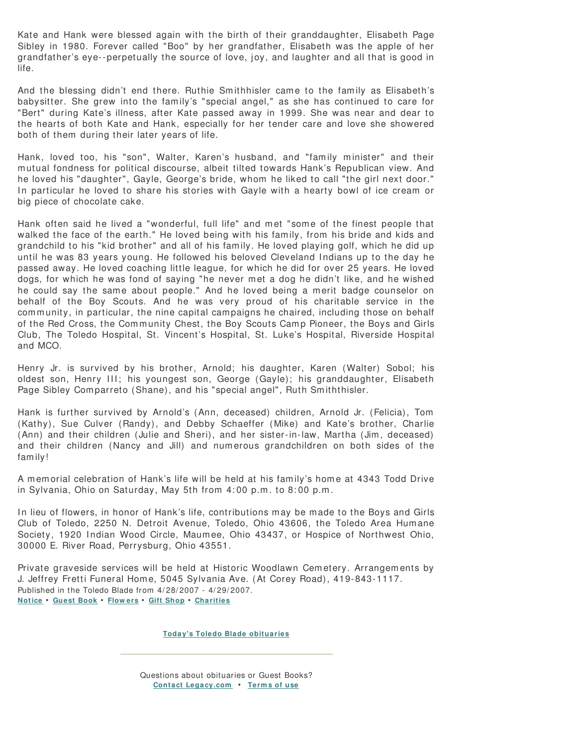Kate and Hank were blessed again with the birth of their granddaughter, Elisabeth Page Sibley in 1980. Forever called "Boo" by her grandfather, Elisabeth was the apple of her grandfather's eye-- perpetually the source of love, joy, and laughter and all that is good in life.

And the blessing didn't end there. Ruthie Smithhisler came to the family as Elisabeth's babysitter. She grew into the fam ily's "special angel," as she has continued to care for "Bert" during Kate's illness, after Kate passed away in 1999. She was near and dear to the hearts of both Kate and Hank, especially for her tender care and love she showered both of them during their later years of life.

Hank, loved too, his "son", Walter, Karen's husband, and "family minister" and their m utual fondness for political discourse, albeit tilted towards Hank's Republican view. And he loved his "daughter", Gayle, George's bride, whom he liked to call "the girl next door." In particular he loved to share his stories with Gayle with a hearty bowl of ice cream or big piece of chocolate cake.

Hank often said he lived a "wonderful, full life" and met "some of the finest people that walked the face of the earth." He loved being with his family, from his bride and kids and grandchild to his "kid brother" and all of his fam ily. He loved playing golf, which he did up until he was 83 years young. He followed his beloved Cleveland I ndians up to the day he passed away. He loved coaching little league, for which he did for over 25 years. He loved dogs, for which he was fond of saying "he never met a dog he didn't like, and he wished he could say the same about people." And he loved being a merit badge counselor on behalf of the Boy Scouts. And he was very proud of his charitable service in the community, in particular, the nine capital campaigns he chaired, including those on behalf of the Red Cross, the Community Chest, the Boy Scouts Camp Pioneer, the Boys and Girls Club, The Toledo Hospital, St. Vincent's Hospital, St. Luke's Hospital, Riverside Hospital and MCO.

Henry Jr. is survived by his brother, Arnold; his daughter, Karen (Walter) Sobol; his oldest son, Henry III; his youngest son, George (Gayle); his granddaughter, Elisabeth Page Sibley Comparreto (Shane), and his "special angel", Ruth Smiththisler.

Hank is further survived by Arnold's (Ann, deceased) children, Arnold Jr. (Felicia), Tom (Kathy), Sue Culver (Randy), and Debby Schaeffer (Mike) and Kate's brother, Charlie (Ann) and their children (Julie and Sheri), and her sister-in-law, Martha (Jim, deceased) and their children (Nancy and Jill) and num erous grandchildren on both sides of the fam ily!

A memorial celebration of Hank's life will be held at his family's home at 4343 Todd Drive in Sylvania, Ohio on Saturday, May 5th from 4: 00 p.m . to 8: 00 p.m .

In lieu of flowers, in honor of Hank's life, contributions may be made to the Boys and Girls Club of Toledo, 2250 N. Detroit Avenue, Toledo, Ohio 43606, the Toledo Area Hum ane Society, 1920 Indian Wood Circle, Maumee, Ohio 43437, or Hospice of Northwest Ohio, 30000 E. River Road, Perrysburg, Ohio 43551.

Private graveside services will be held at Historic Woodlawn Cem etery. Arrangem ents by J. Jeffrey Fretti Funeral Hom e, 5045 Sylvania Ave. (At Corey Road), 419-843-1117. Published in the Toledo Blade from 4/ 28/ 2007 - 4/ 29/ 2007. **Notice** • **Guest Book** • **Flow ers** • **Gift Shop** • **Charities**

**Today's Toledo Blade obituaries**

Questions about obituaries or Guest Books? **Contact Legacy.com** • **Term s of use**